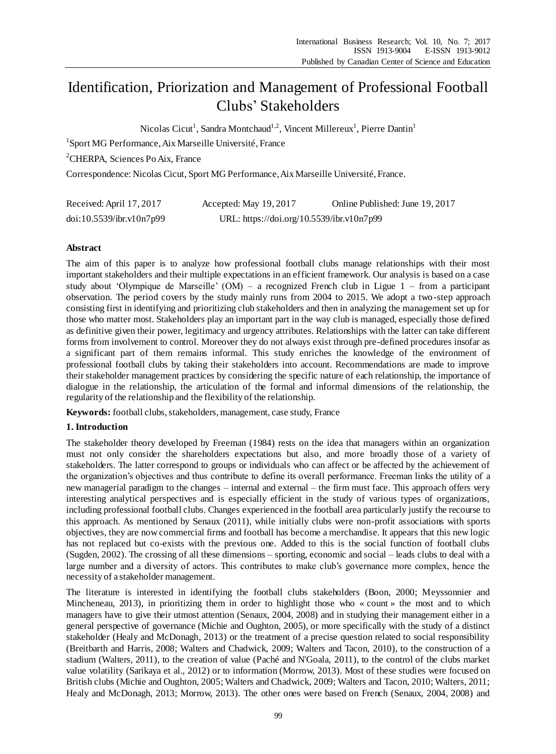# Identification, Priorization and Management of Professional Football Clubs' Stakeholders

Nicolas Cicut<sup>1</sup>, Sandra Montchaud<sup>1,2</sup>, Vincent Millereux<sup>1</sup>, Pierre Dantin<sup>1</sup>

<sup>1</sup>Sport MG Performance, Aix Marseille Université, France

<sup>2</sup>CHERPA, Sciences Po Aix, France

Correspondence: Nicolas Cicut, Sport MG Performance, Aix Marseille Université, France.

| Received: April 17, 2017 | Accepted: May 19, 2017                    | Online Published: June 19, 2017 |
|--------------------------|-------------------------------------------|---------------------------------|
| doi:10.5539/ibr.v10n7p99 | URL: https://doi.org/10.5539/ibr.v10n7p99 |                                 |

# **Abstract**

The aim of this paper is to analyze how professional football clubs manage relationships with their most important stakeholders and their multiple expectations in an efficient framework. Our analysis is based on a case study about 'Olympique de Marseille' (OM) – a recognized French club in Ligue 1 – from a participant observation. The period covers by the study mainly runs from 2004 to 2015. We adopt a two-step approach consisting first in identifying and prioritizing club stakeholders and then in analyzing the management set up for those who matter most. Stakeholders play an important part in the way club is managed, especially those defined as definitive given their power, legitimacy and urgency attributes. Relationships with the latter can take different forms from involvement to control. Moreover they do not always exist through pre-defined procedures insofar as a significant part of them remains informal. This study enriches the knowledge of the environment of professional football clubs by taking their stakeholders into account. Recommendations are made to improve their stakeholder management practices by considering the specific nature of each relationship, the importance of dialogue in the relationship, the articulation of the formal and informal dimensions of the relationship, the regularity of the relationship and the flexibility of the relationship.

**Keywords:** football clubs, stakeholders, management, case study, France

## **1. Introduction**

The stakeholder theory developed by Freeman (1984) rests on the idea that managers within an organization must not only consider the shareholders expectations but also, and more broadly those of a variety of stakeholders. The latter correspond to groups or individuals who can affect or be affected by the achievement of the organization's objectives and thus contribute to define its overall performance. Freeman links the utility of a new managerial paradigm to the changes – internal and external – the firm must face. This approach offers very interesting analytical perspectives and is especially efficient in the study of various types of organizations, including professional football clubs. Changes experienced in the football area particularly justify the recourse to this approach. As mentioned by Senaux (2011), while initially clubs were non-profit associations with sports objectives, they are now commercial firms and football has become a merchandise. It appears that this new logic has not replaced but co-exists with the previous one. Added to this is the social function of football clubs (Sugden, 2002). The crossing of all these dimensions – sporting, economic and social – leads clubs to deal with a large number and a diversity of actors. This contributes to make club's governance more complex, hence the necessity of a stakeholder management.

The literature is interested in identifying the football clubs stakeholders (Boon, 2000; Meyssonnier and Mincheneau, 2013), in prioritizing them in order to highlight those who «count » the most and to which managers have to give their utmost attention (Senaux, 2004, 2008) and in studying their management either in a general perspective of governance (Michie and Oughton, 2005), or more specifically with the study of a distinct stakeholder (Healy and McDonagh, 2013) or the treatment of a precise question related to social responsibility (Breitbarth and Harris, 2008; Walters and Chadwick, 2009; Walters and Tacon, 2010), to the construction of a stadium (Walters, 2011), to the creation of value (Paché and N'Goala, 2011), to the control of the clubs market value volatility (Sarikaya et al., 2012) or to information (Morrow, 2013). Most of these studies were focused on British clubs (Michie and Oughton, 2005; Walters and Chadwick, 2009; Walters and Tacon, 2010; Walters, 2011; Healy and McDonagh, 2013; Morrow, 2013). The other ones were based on French (Senaux, 2004, 2008) and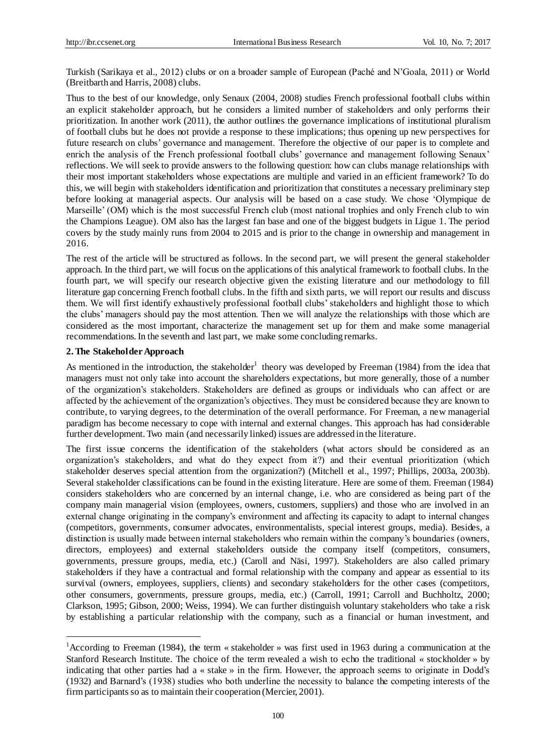Turkish (Sarikaya et al., 2012) clubs or on a broader sample of European (Paché and N'Goala, 2011) or World (Breitbarth and Harris, 2008) clubs.

Thus to the best of our knowledge, only Senaux (2004, 2008) studies French professional football clubs within an explicit stakeholder approach, but he considers a limited number of stakeholders and only performs their prioritization. In another work (2011), the author outlines the governance implications of institutional pluralism of football clubs but he does not provide a response to these implications; thus opening up new perspectives for future research on clubs' governance and management. Therefore the objective of our paper is to complete and enrich the analysis of the French professional football clubs' governance and management following Senaux' reflections. We will seek to provide answers to the following question: how can clubs manage relationships with their most important stakeholders whose expectations are multiple and varied in an efficient framework? To do this, we will begin with stakeholders identification and prioritization that constitutes a necessary preliminary step before looking at managerial aspects. Our analysis will be based on a case study. We chose 'Olympique de Marseille' (OM) which is the most successful French club (most national trophies and only French club to win the Champions League). OM also has the largest fan base and one of the biggest budgets in Ligue 1. The period covers by the study mainly runs from 2004 to 2015 and is prior to the change in ownership and management in 2016.

The rest of the article will be structured as follows. In the second part, we will present the general stakeholder approach. In the third part, we will focus on the applications of this analytical framework to football clubs. In the fourth part, we will specify our research objective given the existing literature and our methodology to fill literature gap concerning French football clubs. In the fifth and sixth parts, we will report our results and discuss them. We will first identify exhaustively professional football clubs' stakeholders and highlight those to which the clubs' managers should pay the most attention. Then we will analyze the relationships with those which are considered as the most important, characterize the management set up for them and make some managerial recommendations. In the seventh and last part, we make some concluding remarks.

#### **2. The Stakeholder Approach**

<u>.</u>

As mentioned in the introduction, the stakeholder<sup>1</sup> theory was developed by Freeman (1984) from the idea that managers must not only take into account the shareholders expectations, but more generally, those of a number of the organization's stakeholders. Stakeholders are defined as groups or individuals who can affect or are affected by the achievement of the organization's objectives. They must be considered because they are known to contribute, to varying degrees, to the determination of the overall performance. For Freeman, a new managerial paradigm has become necessary to cope with internal and external changes. This approach has had considerable further development. Two main (and necessarily linked) issues are addressed in the literature.

The first issue concerns the identification of the stakeholders (what actors should be considered as an organization's stakeholders, and what do they expect from it?) and their eventual prioritization (which stakeholder deserves special attention from the organization?) (Mitchell et al., 1997; Phillips, 2003a, 2003b). Several stakeholder classifications can be found in the existing literature. Here are some of them. Freeman (1984) considers stakeholders who are concerned by an internal change, i.e. who are considered as being part of the company main managerial vision (employees, owners, customers, suppliers) and those who are involved in an external change originating in the company's environment and affecting its capacity to adapt to internal changes (competitors, governments, consumer advocates, environmentalists, special interest groups, media). Besides, a distinction is usually made between internal stakeholders who remain within the company's boundaries (owners, directors, employees) and external stakeholders outside the company itself (competitors, consumers, governments, pressure groups, media, etc.) (Caroll and Näsi, 1997). Stakeholders are also called primary stakeholders if they have a contractual and formal relationship with the company and appear as essential to its survival (owners, employees, suppliers, clients) and secondary stakeholders for the other cases (competitors, other consumers, governments, pressure groups, media, etc.) (Carroll, 1991; Carroll and Buchholtz, 2000; Clarkson, 1995; Gibson, 2000; Weiss, 1994). We can further distinguish voluntary stakeholders who take a risk by establishing a particular relationship with the company, such as a financial or human investment, and

<sup>&</sup>lt;sup>1</sup> According to Freeman (1984), the term «stakeholder » was first used in 1963 during a communication at the Stanford Research Institute. The choice of the term revealed a wish to echo the traditional «stockholder » by indicating that other parties had a «stake » in the firm. However, the approach seems to originate in Dodd's (1932) and Barnard's (1938) studies who both underline the necessity to balance the competing interests of the firm participants so as to maintain their cooperation (Mercier, 2001).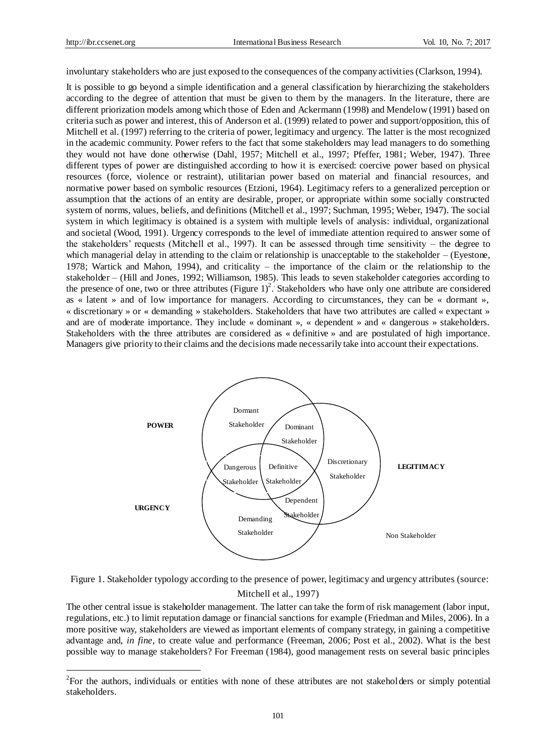1

involuntary stakeholders who are just exposed to the consequences of the company activities (Clarkson, 1994).

It is possible to go beyond a simple identification and a general classification by hierarchizing the stakeholders according to the degree of attention that must be given to them by the managers. In the literature, there are different priorization models among which those of Eden and Ackermann (1998) and Mendelow (1991) based on criteria such as power and interest, this of Anderson et al. (1999) related to power and support/opposition, this of Mitchell et al. (1997) referring to the criteria of power, legitimacy and urgency. The latter is the most recognized in the academic community. Power refers to the fact that some stakeholders may lead managers to do something they would not have done otherwise (Dahl, 1957; Mitchell et al., 1997; Pfeffer, 1981; Weber, 1947). Three different types of power are distinguished according to how it is exercised: coercive power based on physical resources (force, violence or restraint), utilitarian power based on material and financial resources, and normative power based on symbolic resources (Etzioni, 1964). Legitimacy refers to a generalized perception or assumption that the actions of an entity are desirable, proper, or appropriate within some socially constructed system of norms, values, beliefs, and definitions (Mitchell et al., 1997; Suchman, 1995; Weber, 1947). The social system in which legitimacy is obtained is a system with multiple levels of analysis: individual, organizational and societal (Wood, 1991). Urgency corresponds to the level of immediate attention required to answer some of the stakeholders' requests (Mitchell et al., 1997). It can be assessed through time sensitivity – the degree to which managerial delay in attending to the claim or relationship is unacceptable to the stakeholder – (Eyestone, 1978; Wartick and Mahon, 1994), and criticality – the importance of the claim or the relationship to the stakeholder – (Hill and Jones, 1992; Williamson, 1985). This leads to seven stakeholder categories according to the presence of one, two or three attributes (Figure  $1)^2$ . Stakeholders who have only one attribute are considered as « latent » and of low importance for managers. According to circumstances, they can be « dormant », « discretionary » or « demanding »stakeholders. Stakeholders that have two attributes are called « expectant » and are of moderate importance. They include « dominant », « dependent » and « dangerous » stakeholders. Stakeholders with the three attributes are considered as «definitive » and are postulated of high importance. Managers give priority to their claims and the decisions made necessarily take into account their expectations.



Figure 1. Stakeholder typology according to the presence of power, legitimacy and urgency attributes (source: Mitchell et al., 1997)

The other central issue is stakeholder management. The latter can take the form of risk management (labor input, regulations, etc.) to limit reputation damage or financial sanctions for example (Friedman and Miles, 2006). In a more positive way, stakeholders are viewed as important elements of company strategy, in gaining a competitive advantage and, *in fine*, to create value and performance (Freeman, 2006; Post et al., 2002). What is the best possible way to manage stakeholders? For Freeman (1984), good management rests on several basic principles

 $2^2$ For the authors, individuals or entities with none of these attributes are not stakeholders or simply potential stakeholders.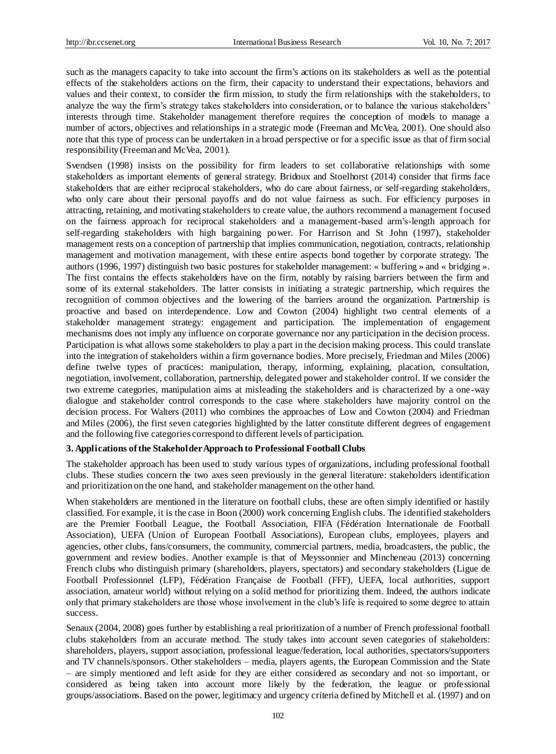such as the managers capacity to take into account the firm's actions on its stakeholders as well as the potential effects of the stakeholders actions on the firm, their capacity to understand their expectations, behaviors and values and their context, to consider the firm mission, to study the firm relationships with the stakeholders, to analyze the way the firm's strategy takes stakeholders into consideration, or to balance the various stakeholders' interests through time. Stakeholder management therefore requires the conception of models to manage a number of actors, objectives and relationships in a strategic mode (Freeman and McVea, 2001). One should also note that this type of process can be undertaken in a broad perspective or for a specific issue as that of firm social responsibility (Freeman and McVea, 2001).

Svendsen (1998) insists on the possibility for firm leaders to set collaborative relationships with some stakeholders as important elements of general strategy. Bridoux and Stoelhorst (2014) consider that firms face stakeholders that are either reciprocal stakeholders, who do care about fairness, or self-regarding stakeholders, who only care about their personal payoffs and do not value fairness as such. For efficiency purposes in attracting, retaining, and motivating stakeholders to create value, the authors recommend a management focused on the fairness approach for reciprocal stakeholders and a management-based arm's-length approach for self-regarding stakeholders with high bargaining power. For Harrison and St John (1997), stakeholder management rests on a conception of partnership that implies communication, negotiation, contracts, relationship management and motivation management, with these entire aspects bond together by corporate strategy. The authors (1996, 1997) distinguish two basic postures for stakeholder management: «buffering » and «bridging ». The first contains the effects stakeholders have on the firm, notably by raising barriers between the firm and some of its external stakeholders. The latter consists in initiating a strategic partnership, which requires the recognition of common objectives and the lowering of the barriers around the organization. Partnership is proactive and based on interdependence. Low and Cowton (2004) highlight two central elements of a stakeholder management strategy: engagement and participation. The implementation of engagement mechanisms does not imply any influence on corporate governance nor any participation in the decision process. Participation is what allows some stakeholders to play a part in the decision making process. This could translate into the integration of stakeholders within a firm governance bodies. More precisely, Friedman and Miles (2006) define twelve types of practices: manipulation, therapy, informing, explaining, placation, consultation, negotiation, involvement, collaboration, partnership, delegated power and stakeholder control. If we consider the two extreme categories, manipulation aims at misleading the stakeholders and is characterized by a one -way dialogue and stakeholder control corresponds to the case where stakeholders have majority control on the decision process. For Walters (2011) who combines the approaches of Low and Cowton (2004) and Friedman and Miles (2006), the first seven categories highlighted by the latter constitute different degrees of engagement and the following five categories correspond to different levels of participation.

#### **3. Applications of the Stakeholder Approach to Professional Football Clubs**

The stakeholder approach has been used to study various types of organizations, including professional football clubs. These studies concern the two axes seen previously in the general literature: stakeholders identification and prioritization on the one hand, and stakeholder management on the other hand.

When stakeholders are mentioned in the literature on football clubs, these are often simply identified or hastily classified. For example, it is the case in Boon (2000) work concerning English clubs. The identified stakeholders are the Premier Football League, the Football Association, FIFA (Fédération Internationale de Football Association), UEFA (Union of European Football Associations), European clubs, employees, players and agencies, other clubs, fans/consumers, the community, commercial partners, media, broadcasters, the public, the government and review bodies. Another example is that of Meyssonnier and Mincheneau (2013) concerning French clubs who distinguish primary (shareholders, players, spectators) and secondary stakeholders (Ligue de Football Professionnel (LFP), Fédération Française de Football (FFF), UEFA, local authorities, support association, amateur world) without relying on a solid method for prioritizing them. Indeed, the authors indicate only that primary stakeholders are those whose involvement in the club's life is required to some degree to attain success.

Senaux (2004, 2008) goes further by establishing a real prioritization of a number of French professional football clubs stakeholders from an accurate method. The study takes into account seven categories of stakeholders: shareholders, players, support association, professional league/federation, local authorities, spectators/supporters and TV channels/sponsors. Other stakeholders – media, players agents, the European Commission and the State – are simply mentioned and left aside for they are either considered as secondary and not so important, or considered as being taken into account more likely by the federation, the league or professional groups/associations. Based on the power, legitimacy and urgency criteria defined by Mitchell et al. (1997) and on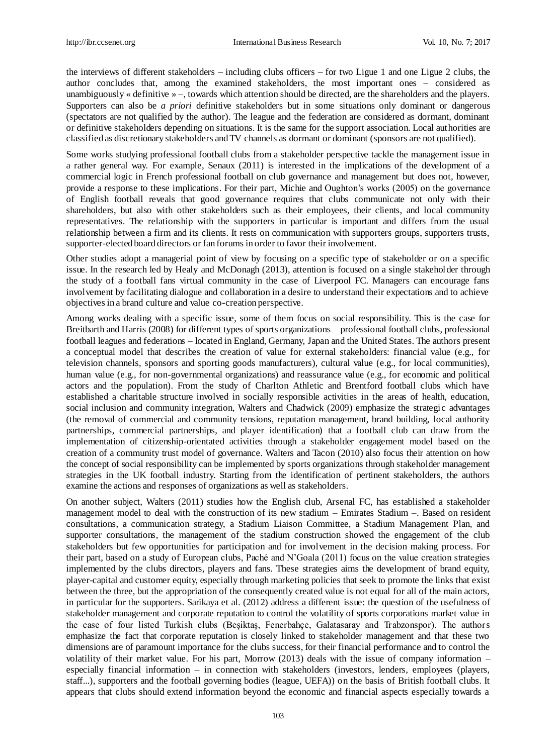the interviews of different stakeholders – including clubs officers – for two Ligue 1 and one Ligue 2 clubs, the author concludes that, among the examined stakeholders, the most important ones – considered as unambiguously «definitive » –, towards which attention should be directed, are the shareholders and the players. Supporters can also be *a priori* definitive stakeholders but in some situations only dominant or dangerous (spectators are not qualified by the author). The league and the federation are considered as dormant, dominant or definitive stakeholders depending on situations. It is the same for the support association. Local authorities are classified as discretionary stakeholders and TV channels as dormant or dominant (sponsors are not qualified).

Some works studying professional football clubs from a stakeholder perspective tackle the management issue in a rather general way. For example, Senaux (2011) is interested in the implications of the development of a commercial logic in French professional football on club governance and management but does not, however, provide a response to these implications. For their part, Michie and Oughton's works (2005) on the governance of English football reveals that good governance requires that clubs communicate not only with their shareholders, but also with other stakeholders such as their employees, their clients, and local community representatives. The relationship with the supporters in particular is important and differs from the usual relationship between a firm and its clients. It rests on communication with supporters groups, supporters trusts, supporter-elected board directors or fan forums in order to favor their involvement.

Other studies adopt a managerial point of view by focusing on a specific type of stakeholder or on a specific issue. In the research led by Healy and McDonagh (2013), attention is focused on a single stakeholder through the study of a football fans virtual community in the case of Liverpool FC. Managers can encourage fans involvement by facilitating dialogue and collaboration in a desire to understand their expectations and to achieve objectives in a brand culture and value co-creation perspective.

Among works dealing with a specific issue, some of them focus on social responsibility. This is the case for Breitbarth and Harris (2008) for different types of sports organizations – professional football clubs, professional football leagues and federations – located in England, Germany, Japan and the United States. The authors present a conceptual model that describes the creation of value for external stakeholders: financial value (e.g., for television channels, sponsors and sporting goods manufacturers), cultural value (e.g., for local communities), human value (e.g., for non-governmental organizations) and reassurance value (e.g., for economic and political actors and the population). From the study of Charlton Athletic and Brentford football clubs which have established a charitable structure involved in socially responsible activities in the areas of health, education, social inclusion and community integration, Walters and Chadwick (2009) emphasize the strategic advantages (the removal of commercial and community tensions, reputation management, brand building, local authority partnerships, commercial partnerships, and player identification) that a football club can draw from the implementation of citizenship-orientated activities through a stakeholder engagement model based on the creation of a community trust model of governance. Walters and Tacon (2010) also focus their attention on how the concept of social responsibility can be implemented by sports organizations through stakeholder management strategies in the UK football industry. Starting from the identification of pertinent stakeholders, the authors examine the actions and responses of organizations as well as stakeholders.

On another subject, Walters (2011) studies how the English club, Arsenal FC, has established a stakeholder management model to deal with the construction of its new stadium – Emirates Stadium –. Based on resident consultations, a communication strategy, a Stadium Liaison Committee, a Stadium Management Plan, and supporter consultations, the management of the stadium construction showed the engagement of the club stakeholders but few opportunities for participation and for involvement in the decision making process. For their part, based on a study of European clubs, Paché and N'Goala (2011) focus on the value creation strategies implemented by the clubs directors, players and fans. These strategies aims the development of brand equity, player-capital and customer equity, especially through marketing policies that seek to promote the links that exist between the three, but the appropriation of the consequently created value is not equal for all of the main actors, in particular for the supporters. Sarikaya et al. (2012) address a different issue: the question of the usefulness of stakeholder management and corporate reputation to control the volatility of sports corporations market value in the case of four listed Turkish clubs (Beşiktaş, Fenerbahçe, Galatasaray and Trabzonspor). The authors emphasize the fact that corporate reputation is closely linked to stakeholder management and that these two dimensions are of paramount importance for the clubs success, for their financial performance and to control the volatility of their market value. For his part, Morrow (2013) deals with the issue of company information – especially financial information – in connection with stakeholders (investors, lenders, employees (players, staff...), supporters and the football governing bodies (league, UEFA)) on the basis of British football clubs. It appears that clubs should extend information beyond the economic and financial aspects especially towards a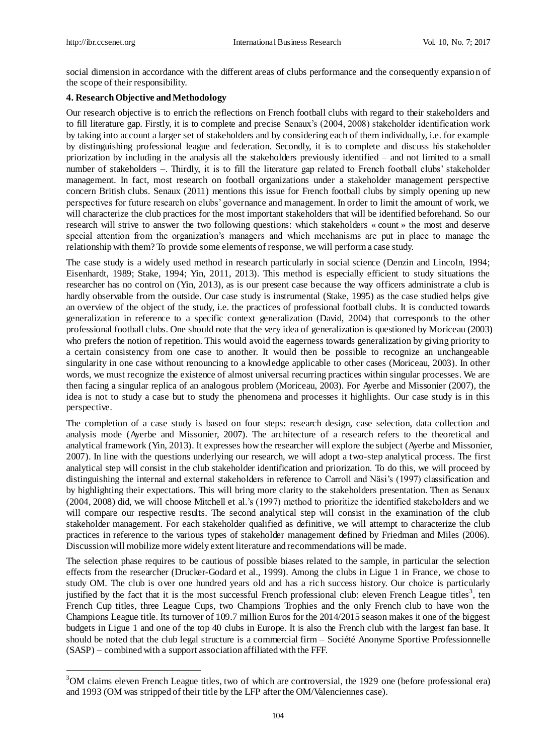1

social dimension in accordance with the different areas of clubs performance and the consequently expansion of the scope of their responsibility.

# **4. Research Objective and Methodology**

Our research objective is to enrich the reflections on French football clubs with regard to their stakeholders and to fill literature gap. Firstly, it is to complete and precise Senaux's (2004, 2008) stakeholder identification work by taking into account a larger set of stakeholders and by considering each of them individually, i.e. for example by distinguishing professional league and federation. Secondly, it is to complete and discuss his stakeholder priorization by including in the analysis all the stakeholders previously identified – and not limited to a small number of stakeholders –. Thirdly, it is to fill the literature gap related to French football clubs' stakeholder management. In fact, most research on football organizations under a stakeholder management perspective concern British clubs. Senaux (2011) mentions this issue for French football clubs by simply opening up new perspectives for future research on clubs' governance and management. In order to limit the amount of work, we will characterize the club practices for the most important stakeholders that will be identified beforehand. So our research will strive to answer the two following questions: which stakeholders «count » the most and deserve special attention from the organization's managers and which mechanisms are put in place to manage the relationship with them? To provide some elements of response, we will perform a case study.

The case study is a widely used method in research particularly in social science (Denzin and Lincoln, 1994; Eisenhardt, 1989; Stake, 1994; Yin, 2011, 2013). This method is especially efficient to study situations the researcher has no control on (Yin, 2013), as is our present case because the way officers administrate a club is hardly observable from the outside. Our case study is instrumental (Stake, 1995) as the case studied helps give an overview of the object of the study, i.e. the practices of professional football clubs. It is conducted towards generalization in reference to a specific context generalization (David, 2004) that corresponds to the other professional football clubs. One should note that the very idea of generalization is questioned by Moriceau (2003) who prefers the notion of repetition. This would avoid the eagerness towards generalization by giving priority to a certain consistency from one case to another. It would then be possible to recognize an unchangeable singularity in one case without renouncing to a knowledge applicable to other cases (Moriceau, 2003). In other words, we must recognize the existence of almost universal recurring practices within singular processes. We are then facing a singular replica of an analogous problem (Moriceau, 2003). For Ayerbe and Missonier (2007), the idea is not to study a case but to study the phenomena and processes it highlights. Our case study is in this perspective.

The completion of a case study is based on four steps: research design, case selection, data collection and analysis mode (Ayerbe and Missonier, 2007). The architecture of a research refers to the theoretical and analytical framework (Yin, 2013). It expresses how the researcher will explore the subject (Ayerbe and Missonier, 2007). In line with the questions underlying our research, we will adopt a two-step analytical process. The first analytical step will consist in the club stakeholder identification and priorization. To do this, we will proceed by distinguishing the internal and external stakeholders in reference to Carroll and Näsi's (1997) classification and by highlighting their expectations. This will bring more clarity to the stakeholders presentation. Then as Senaux (2004, 2008) did, we will choose Mitchell et al.'s (1997) method to prioritize the identified stakeholders and we will compare our respective results. The second analytical step will consist in the examination of the club stakeholder management. For each stakeholder qualified as definitive, we will attempt to characterize the club practices in reference to the various types of stakeholder management defined by Friedman and Miles (2006). Discussion will mobilize more widely extent literature and recommendations will be made.

The selection phase requires to be cautious of possible biases related to the sample, in particular the selection effects from the researcher (Drucker-Godard et al., 1999). Among the clubs in Ligue 1 in France, we chose to study OM. The club is over one hundred years old and has a rich success history. Our choice is particularly justified by the fact that it is the most successful French professional club: eleven French League titles<sup>3</sup>, ten French Cup titles, three League Cups, two Champions Trophies and the only French club to have won the Champions League title. Its turnover of 109.7 million Euros for the 2014/2015 season makes it one of the biggest budgets in Ligue 1 and one of the top 40 clubs in Europe. It is also the French club with the largest fan base. It should be noted that the club legal structure is a commercial firm  $-$  Soci  $d \in A$ nonyme Sportive Professionnelle (SASP) – combined with a support association affiliated with the FFF.

<sup>&</sup>lt;sup>3</sup>OM claims eleven French League titles, two of which are controversial, the 1929 one (before professional era) and 1993 (OM was stripped of their title by the LFP after the OM/Valenciennes case).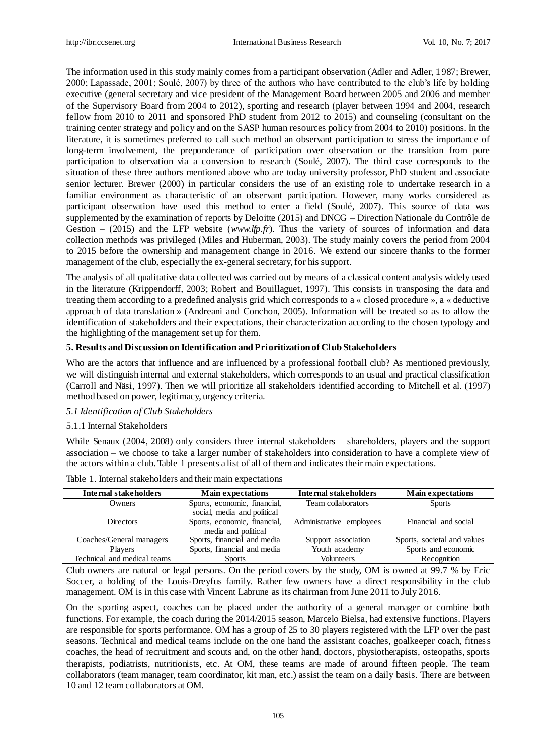The information used in this study mainly comes from a participant observation (Adler and Adler, 1987; Brewer, 2000; Lapassade, 2001; Soulé, 2007) by three of the authors who have contributed to the club's life by holding executive (general secretary and vice president of the Management Board between 2005 and 2006 and member of the Supervisory Board from 2004 to 2012), sporting and research (player between 1994 and 2004, research fellow from 2010 to 2011 and sponsored PhD student from 2012 to 2015) and counseling (consultant on the training center strategy and policy and on the SASP human resources policy from 2004 to 2010) positions. In the literature, it is sometimes preferred to call such method an observant participation to stress the importance of long-term involvement, the preponderance of participation over observation or the transition from pure participation to observation via a conversion to research (Soulé, 2007). The third case corresponds to the situation of these three authors mentioned above who are today university professor, PhD student and associate senior lecturer. Brewer (2000) in particular considers the use of an existing role to undertake research in a familiar environment as characteristic of an observant participation. However, many works considered as participant observation have used this method to enter a field (Soulé, 2007). This source of data was supplemented by the examination of reports by Deloitte (2015) and DNCG – Direction Nationale du Contrôle de Gestion – (2015) and the LFP website (*www.lfp.fr*). Thus the variety of sources of information and data collection methods was privileged (Miles and Huberman, 2003). The study mainly covers the period from 2004 to 2015 before the ownership and management change in 2016. We extend our sincere thanks to the former management of the club, especially the ex-general secretary, for his support.

The analysis of all qualitative data collected was carried out by means of a classical content analysis widely used in the literature (Krippendorff, 2003; Robert and Bouillaguet, 1997). This consists in transposing the data and treating them according to a predefined analysis grid which corresponds to a «closed procedure », a «deductive approach of data translation » (Andreani and Conchon, 2005). Information will be treated so as to allow the identification of stakeholders and their expectations, their characterization according to the chosen typology and the highlighting of the management set up for them.

# **5. Results and Discussion on Identification and Prioritization of Club Stakeholders**

Who are the actors that influence and are influenced by a professional football club? As mentioned previously, we will distinguish internal and external stakeholders, which corresponds to an usual and practical classification (Carroll and Näsi, 1997). Then we will prioritize all stakeholders identified according to Mitchell et al. (1997) method based on power, legitimacy, urgency criteria.

#### *5.1 Identification of Club Stakeholders*

# 5.1.1 Internal Stakeholders

While Senaux (2004, 2008) only considers three internal stakeholders – shareholders, players and the support association – we choose to take a larger number of stakeholders into consideration to have a complete view of the actors within a club. Table 1 presents a list of all of them and indicates their main expectations.

| Internal stakeholders       | <b>Main expectations</b>     | Internal stakeholders    | <b>Main expectations</b>    |
|-----------------------------|------------------------------|--------------------------|-----------------------------|
| Owners                      | Sports, economic, financial, | Team collaborators       | <b>Sports</b>               |
|                             | social, media and political  |                          |                             |
| <b>Directors</b>            | Sports, economic, financial, | Administrative employees | Financial and social        |
|                             | media and political          |                          |                             |
| Coaches/General managers    | Sports, financial and media  | Support association      | Sports, societal and values |
| Players                     | Sports, financial and media  | Youth academy            | Sports and economic         |
| Technical and medical teams | <b>Sports</b>                | Volunteers               | Recognition                 |
|                             |                              |                          |                             |

Table 1. Internal stakeholders and their main expectations

Club owners are natural or legal persons. On the period covers by the study, OM is owned at 99.7 % by Eric Soccer, a holding of the Louis-Dreyfus family. Rather few owners have a direct responsibility in the club management. OM is in this case with Vincent Labrune as its chairman from June 2011 to July 2016.

On the sporting aspect, coaches can be placed under the authority of a general manager or combine both functions. For example, the coach during the 2014/2015 season, Marcelo Bielsa, had extensive functions. Players are responsible for sports performance. OM has a group of 25 to 30 players registered with the LFP over the past seasons. Technical and medical teams include on the one hand the assistant coaches, goalkeeper coach, fitness coaches, the head of recruitment and scouts and, on the other hand, doctors, physiotherapists, osteopaths, sports therapists, podiatrists, nutritionists, etc. At OM, these teams are made of around fifteen people. The team collaborators (team manager, team coordinator, kit man, etc.) assist the team on a daily basis. There are between 10 and 12 team collaborators at OM.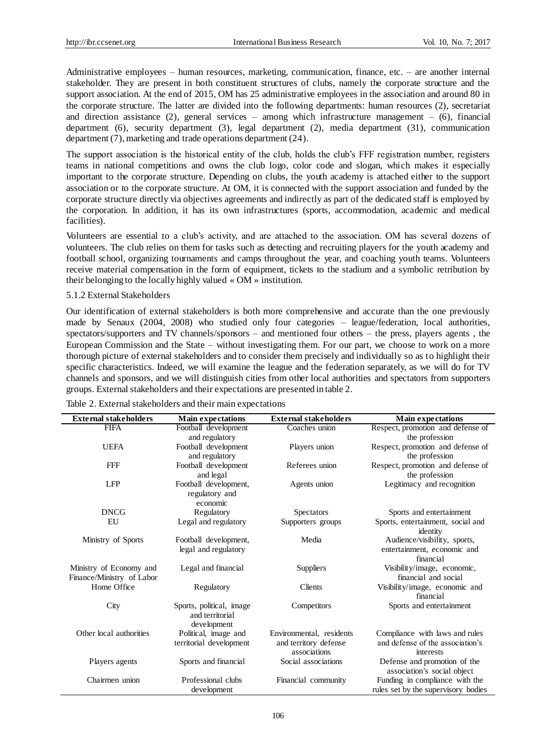Administrative employees – human resources, marketing, communication, finance, etc. – are another internal stakeholder. They are present in both constituent structures of clubs, namely the corporate structure and the support association. At the end of 2015, OM has 25 administrative employees in the association and around 80 in the corporate structure. The latter are divided into the following departments: human resources (2), secretariat and direction assistance (2), general services – among which infrastructure management –  $(6)$ , financial department (6), security department (3), legal department (2), media department (31), communication department (7), marketing and trade operations department (24).

The support association is the historical entity of the club, holds the club's FFF registration number, registers teams in national competitions and owns the club logo, color code and slogan, which makes it especially important to the corporate structure. Depending on clubs, the youth academy is attached either to the support association or to the corporate structure. At OM, it is connected with the support association and funded by the corporate structure directly via objectives agreements and indirectly as part of the dedicated staff is employed by the corporation. In addition, it has its own infrastructures (sports, accommodation, academic and medical facilities).

Volunteers are essential to a club's activity, and are attached to the association. OM has several dozens of volunteers. The club relies on them for tasks such as detecting and recruiting players for the youth academy and football school, organizing tournaments and camps throughout the year, and coaching youth teams. Volunteers receive material compensation in the form of equipment, tickets to the stadium and a symbolic retribution by their belonging to the locally highly valued «OM » institution.

## 5.1.2 External Stakeholders

Our identification of external stakeholders is both more comprehensive and accurate than the one previously made by Senaux (2004, 2008) who studied only four categories – league/federation, local authorities, spectators/supporters and TV channels/sponsors – and mentioned four others – the press, players agents , the European Commission and the State – without investigating them. For our part, we choose to work on a more thorough picture of external stakeholders and to consider them precisely and individually so as to highlight their specific characteristics. Indeed, we will examine the league and the federation separately, as we will do for TV channels and sponsors, and we will distinguish cities from other local authorities and spectators from supporters groups. External stakeholders and their expectations are presented in table 2.

| <b>External stakeholders</b>                         | <b>Main expectations</b>                                   | <b>External stakeholders</b>          | <b>Main expectations</b>                                    |
|------------------------------------------------------|------------------------------------------------------------|---------------------------------------|-------------------------------------------------------------|
| <b>FIFA</b>                                          | Football development                                       | Coaches union                         | Respect, promotion and defense of                           |
|                                                      | and regulatory                                             |                                       | the profession                                              |
| <b>UEFA</b>                                          | Football development<br>and regulatory                     | Players union                         | Respect, promotion and defense of<br>the profession         |
| <b>FFF</b>                                           | Football development<br>and legal                          | Referees union                        | Respect, promotion and defense of<br>the profession         |
| <b>LFP</b>                                           | Football development,<br>regulatory and<br>economic        | Agents union                          | Legitimacy and recognition                                  |
| <b>DNCG</b>                                          | Regulatory                                                 | <b>Spectators</b>                     | Sports and entertainment                                    |
| EU                                                   | Legal and regulatory                                       | Supporters groups                     | Sports, entertainment, social and<br>identity               |
| Ministry of Sports                                   | Football development,                                      | Media                                 | Audience/visibility, sports,                                |
|                                                      | legal and regulatory                                       |                                       | entertainment, economic and<br>financial                    |
| Ministry of Economy and<br>Finance/Ministry of Labor | Legal and financial                                        | Suppliers                             | Visibility/image, economic,<br>financial and social         |
| Home Office                                          | Regulatory                                                 | Clients                               | Visibility/image, economic and<br>financial                 |
| City                                                 | Sports, political, image<br>and territorial<br>development | Competitors                           | Sports and entertainment                                    |
| Other local authorities                              | Political, image and                                       | Environmental, residents              | Compliance with laws and rules                              |
|                                                      | territorial development                                    | and territory defense<br>associations | and defense of the association's<br>interests               |
| Players agents                                       | Sports and financial                                       | Social associations                   | Defense and promotion of the<br>association's social object |
| Chairmen union                                       | Professional clubs                                         | Financial community                   | Funding in compliance with the                              |
|                                                      | development                                                |                                       | rules set by the supervisory bodies                         |

Table 2. External stakeholders and their main expectations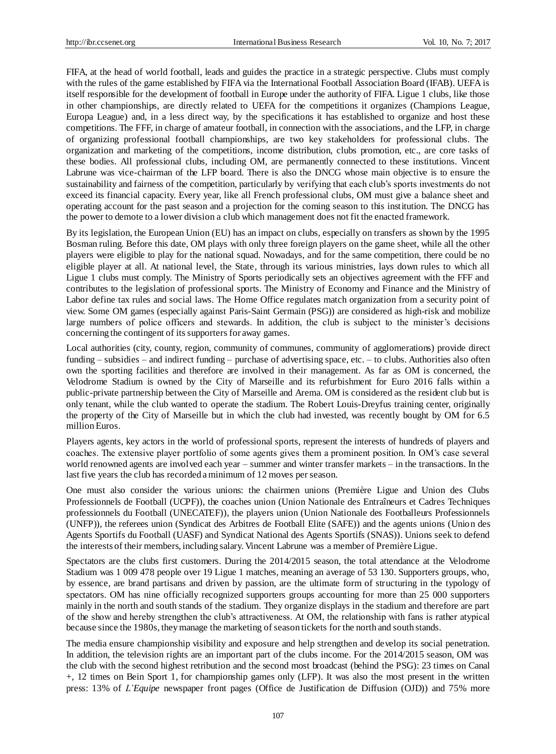FIFA, at the head of world football, leads and guides the practice in a strategic perspective. Clubs must comply with the rules of the game established by FIFA via the International Football Association Board (IFAB). UEFA is itself responsible for the development of football in Europe under the authority of FIFA. Ligue 1 clubs, like those in other championships, are directly related to UEFA for the competitions it organizes (Champions League, Europa League) and, in a less direct way, by the specifications it has established to organize and host these competitions. The FFF, in charge of amateur football, in connection with the associations, and the LFP, in charge of organizing professional football championships, are two key stakeholders for professional clubs. The organization and marketing of the competitions, income distribution, clubs promotion, etc., are core tasks of these bodies. All professional clubs, including OM, are permanently connected to these institutions. Vincent Labrune was vice-chairman of the LFP board. There is also the DNCG whose main objective is to ensure the sustainability and fairness of the competition, particularly by verifying that each club's sports investments do not exceed its financial capacity. Every year, like all French professional clubs, OM must give a balance sheet and operating account for the past season and a projection for the coming season to this institution. The DNCG has the power to demote to a lower division a club which management does not fit the enacted framework.

By its legislation, the European Union (EU) has an impact on clubs, especially on transfers as shown by the 1995 Bosman ruling. Before this date, OM plays with only three foreign players on the game sheet, while all the other players were eligible to play for the national squad. Nowadays, and for the same competition, there could be no eligible player at all. At national level, the State, through its various ministries, lays down rules to which all Ligue 1 clubs must comply. The Ministry of Sports periodically sets an objectives agreement with the FFF and contributes to the legislation of professional sports. The Ministry of Economy and Finance and the Ministry of Labor define tax rules and social laws. The Home Office regulates match organization from a security point of view. Some OM games (especially against Paris-Saint Germain (PSG)) are considered as high-risk and mobilize large numbers of police officers and stewards. In addition, the club is subject to the minister's decisions concerning the contingent of its supporters for away games.

Local authorities (city, county, region, community of communes, community of agglomerations) provide direct funding – subsidies – and indirect funding – purchase of advertising space, etc. – to clubs. Authorities also often own the sporting facilities and therefore are involved in their management. As far as OM is concerned, the Velodrome Stadium is owned by the City of Marseille and its refurbishment for Euro 2016 falls within a public-private partnership between the City of Marseille and Arema. OM is considered as the resident club but is only tenant, while the club wanted to operate the stadium. The Robert Louis-Dreyfus training center, originally the property of the City of Marseille but in which the club had invested, was recently bought by OM for 6.5 million Euros.

Players agents, key actors in the world of professional sports, represent the interests of hundreds of players and coaches. The extensive player portfolio of some agents gives them a prominent position. In OM's case several world renowned agents are involved each year – summer and winter transfer markets – in the transactions. In the last five years the club has recorded a minimum of 12 moves per season.

One must also consider the various unions: the chairmen unions (Première Ligue and Union des Clubs Professionnels de Football (UCPF)), the coaches union (Union Nationale des Entra îneurs et Cadres Techniques professionnels du Football (UNECATEF)), the players union (Union Nationale des Footballeurs Professionnels (UNFP)), the referees union (Syndicat des Arbitres de Football Elite (SAFE)) and the agents unions (Union des Agents Sportifs du Football (UASF) and Syndicat National des Agents Sportifs (SNAS)). Unions seek to defend the interests of their members, including salary. Vincent Labrune was a member of Première Ligue.

Spectators are the clubs first customers. During the 2014/2015 season, the total attendance at the Velodrome Stadium was 1 009 478 people over 19 Ligue 1 matches, meaning an average of 53 130. Supporters groups, who, by essence, are brand partisans and driven by passion, are the ultimate form of structuring in the typology of spectators. OM has nine officially recognized supporters groups accounting for more than 25 000 supporters mainly in the north and south stands of the stadium. They organize displays in the stadium and therefore are part of the show and hereby strengthen the club's attractiveness. At OM, the relationship with fans is rather atypical because since the 1980s, they manage the marketing of season tickets for the north and south stands.

The media ensure championship visibility and exposure and help strengthen and develop its social penetration. In addition, the television rights are an important part of the clubs income. For the  $2014/2015$  season, OM was the club with the second highest retribution and the second most broadcast (behind the PSG): 23 times on Canal +, 12 times on Bein Sport 1, for championship games only (LFP). It was also the most present in the written press: 13% of *L'Equipe* newspaper front pages (Office de Justification de Diffusion (OJD)) and 75% more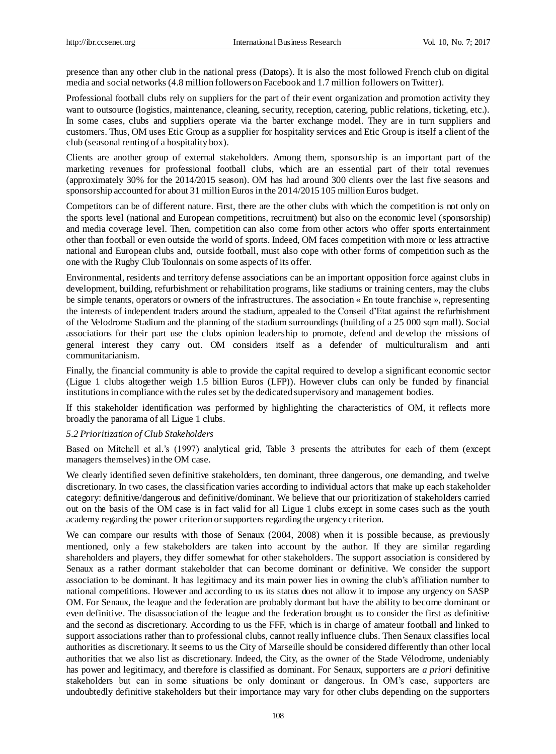presence than any other club in the national press (Datops). It is also the most followed French club on digital media and social networks (4.8 million followers on Facebook and 1.7 million followers on Twitter).

Professional football clubs rely on suppliers for the part of their event organization and promotion activity they want to outsource (logistics, maintenance, cleaning, security, reception, catering, public relations, ticketing, etc.). In some cases, clubs and suppliers operate via the barter exchange model. They are in turn suppliers and customers. Thus, OM uses Etic Group as a supplier for hospitality services and Etic Group is itself a client of the club (seasonal renting of a hospitality box).

Clients are another group of external stakeholders. Among them, sponsorship is an important part of the marketing revenues for professional football clubs, which are an essential part of their total revenues (approximately 30% for the 2014/2015 season). OM has had around 300 clients over the last five seasons and sponsorship accounted for about 31 million Euros in the 2014/2015 105 million Euros budget.

Competitors can be of different nature. First, there are the other clubs with which the competition is not only on the sports level (national and European competitions, recruitment) but also on the economic level (sponsorship) and media coverage level. Then, competition can also come from other actors who offer sports entertainment other than football or even outside the world of sports. Indeed, OM faces competition with more or less attractive national and European clubs and, outside football, must also cope with other forms of competition such as the one with the Rugby Club Toulonnais on some aspects of its offer.

Environmental, residents and territory defense associations can be an important opposition force against clubs in development, building, refurbishment or rehabilitation programs, like stadiums or training centers, may the clubs be simple tenants, operators or owners of the infrastructures. The association « En toute franchise », representing the interests of independent traders around the stadium, appealed to the Conseil d'Etat against the refurbishment of the Velodrome Stadium and the planning of the stadium surroundings (building of a 25 000 sqm mall). Social associations for their part use the clubs opinion leadership to promote, defend and develop the missions of general interest they carry out. OM considers itself as a defender of multiculturalism and anti communitarianism.

Finally, the financial community is able to provide the capital required to develop a significant economic sector (Ligue 1 clubs altogether weigh 1.5 billion Euros (LFP)). However clubs can only be funded by financial institutions in compliance with the rules set by the dedicated supervisory and management bodies.

If this stakeholder identification was performed by highlighting the characteristics of OM, it reflects more broadly the panorama of all Ligue 1 clubs.

#### *5.2 Prioritization of Club Stakeholders*

Based on Mitchell et al.'s (1997) analytical grid, Table 3 presents the attributes for each of them (except managers themselves) in the OM case.

We clearly identified seven definitive stakeholders, ten dominant, three dangerous, one demanding, and twelve discretionary. In two cases, the classification varies according to individual actors that make up each stakeholder category: definitive/dangerous and definitive/dominant. We believe that our prioritization of stakeholders carried out on the basis of the OM case is in fact valid for all Ligue 1 clubs except in some cases such as the youth academy regarding the power criterion or supporters regarding the urgency criterion.

We can compare our results with those of Senaux (2004, 2008) when it is possible because, as previously mentioned, only a few stakeholders are taken into account by the author. If they are similar regarding shareholders and players, they differ somewhat for other stakeholders. The support association is considered by Senaux as a rather dormant stakeholder that can become dominant or definitive. We consider the support association to be dominant. It has legitimacy and its main power lies in owning the club's affiliation number to national competitions. However and according to us its status does not allow it to impose any urgency on SASP OM. For Senaux, the league and the federation are probably dormant but have the ability to become dominant or even definitive. The disassociation of the league and the federation brought us to consider the first as definitive and the second as discretionary. According to us the FFF, which is in charge of amateur football and linked to support associations rather than to professional clubs, cannot really influence clubs. Then Senaux classifies local authorities as discretionary. It seems to us the City of Marseille should be considered differently than other local authorities that we also list as discretionary. Indeed, the City, as the owner of the Stade Vélodrome, undeniably has power and legitimacy, and therefore is classified as dominant. For Senaux, supporters are *a priori* definitive stakeholders but can in some situations be only dominant or dangerous. In OM's case, supporters are undoubtedly definitive stakeholders but their importance may vary for other clubs depending on the supporters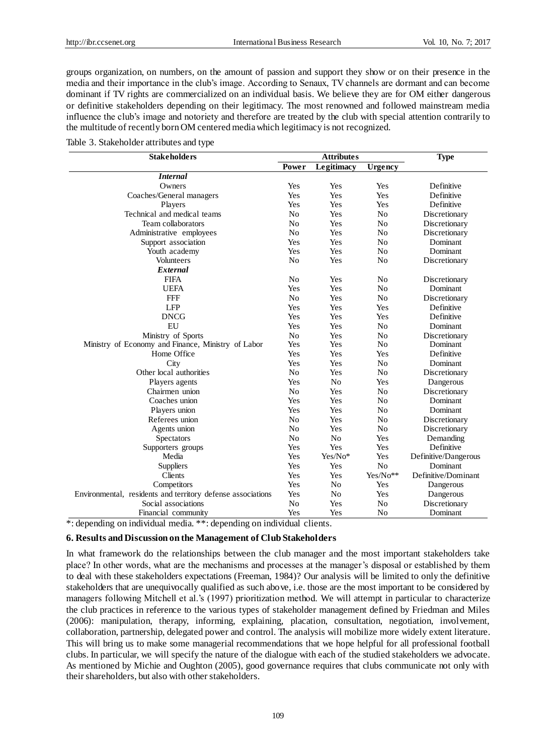groups organization, on numbers, on the amount of passion and support they show or on their presence in the media and their importance in the club's image. According to Senaux, TV channels are dormant and can become dominant if TV rights are commercialized on an individual basis. We believe they are for OM either dangerous or definitive stakeholders depending on their legitimacy. The most renowned and followed mainstream media influence the club's image and notoriety and therefore are treated by the club with special attention contrarily to the multitude of recently born OM centered media which legitimacy is not recognized.

Table 3. Stakeholder attributes and type

| <b>Stakeholders</b>                                         |                | <b>Attributes</b> | <b>Type</b>    |                      |
|-------------------------------------------------------------|----------------|-------------------|----------------|----------------------|
|                                                             | Power          | Legitimacy        | Urgency        |                      |
| <i>Internal</i>                                             |                |                   |                |                      |
| Owners                                                      |                | Yes               | Yes            | Definitive           |
| Coaches/General managers                                    |                | Yes               | Yes            | Definitive           |
| Players                                                     | Yes            | Yes               | Yes            | Definitive           |
| Technical and medical teams                                 | N <sub>0</sub> | Yes               | N <sub>o</sub> | Discretionary        |
| Team collaborators                                          | N <sub>o</sub> | Yes               | N <sub>0</sub> | Discretionary        |
| Administrative employees                                    | N <sub>0</sub> | Yes               | N <sub>o</sub> | Discretionary        |
| Support association                                         | Yes            | Yes               | N <sub>0</sub> | Dominant             |
| Youth academy                                               | Yes            | Yes               | N <sub>0</sub> | Dominant             |
| Volunteers                                                  | N <sub>o</sub> | Yes               | No             | Discretionary        |
| External                                                    |                |                   |                |                      |
| <b>FIFA</b>                                                 | N <sub>0</sub> | Yes               | N <sub>o</sub> | Discretionary        |
| <b>UEFA</b>                                                 | Yes            | Yes               | N <sub>o</sub> | Dominant             |
| <b>FFF</b>                                                  | N <sub>o</sub> | Yes               | N <sub>o</sub> | Discretionary        |
| <b>LFP</b>                                                  | Yes            | Yes               | Yes            | Definitive           |
| <b>DNCG</b>                                                 | Yes            | Yes               | Yes            | Definitive           |
| EU                                                          | Yes            | Yes               | N <sub>o</sub> | Dominant             |
| Ministry of Sports                                          | N <sub>0</sub> | Yes               | N <sub>o</sub> | Discretionary        |
| Ministry of Economy and Finance, Ministry of Labor          | Yes            | Yes               | N <sub>o</sub> | Dominant             |
| Home Office                                                 | Yes            | Yes               | Yes            | Definitive           |
| City                                                        | Yes            | Yes               | N <sub>o</sub> | Dominant             |
| Other local authorities                                     | N <sub>0</sub> | Yes               | N <sub>0</sub> | Discretionary        |
| Players agents                                              | Yes            | N <sub>o</sub>    | Yes            | Dangerous            |
| Chairmen union                                              | N <sub>o</sub> | Yes               | N <sub>o</sub> | Discretionary        |
| Coaches union                                               | Yes            | Yes               | N <sub>o</sub> | Dominant             |
| Players union                                               | Yes            | Yes               | No             | Dominant             |
| Referees union                                              | N <sub>0</sub> | Yes               | No             | Discretionary        |
| Agents union                                                | N <sub>o</sub> | Yes               | No             | Discretionary        |
| Spectators                                                  | N <sub>o</sub> | N <sub>0</sub>    | Yes            | Demanding            |
| Supporters groups                                           | Yes            | Yes               | Yes            | Definitive           |
| Media                                                       |                | Yes/No*           | Yes            | Definitive/Dangerous |
| Suppliers                                                   |                | Yes               | N <sub>o</sub> | Dominant             |
| Clients                                                     |                | Yes               | Yes/No**       | Definitive/Dominant  |
| Competitors                                                 |                | N <sub>o</sub>    | Yes            | Dangerous            |
| Environmental, residents and territory defense associations | Yes            | N <sub>o</sub>    | Yes            | Dangerous            |
| Social associations                                         |                | Yes               | N <sub>o</sub> | Discretionary        |
| Financial community                                         |                | Yes               | N <sub>o</sub> | Dominant             |

\*: depending on individual media. \*\*: depending on individual clients.

# **6. Results and Discussion on the Management of Club Stakeholders**

In what framework do the relationships between the club manager and the most important stakeholders take place? In other words, what are the mechanisms and processes at the manager's disposal or established by them to deal with these stakeholders expectations (Freeman, 1984)? Our analysis will be limited to only the definitive stakeholders that are unequivocally qualified as such above, i.e. those are the most important to be considered by managers following Mitchell et al.'s (1997) prioritization method. We will attempt in particular to characterize the club practices in reference to the various types of stakeholder management defined by Friedman and Miles (2006): manipulation, therapy, informing, explaining, placation, consultation, negotiation, involvement, collaboration, partnership, delegated power and control. The analysis will mobilize more widely extent literature. This will bring us to make some managerial recommendations that we hope helpful for all professional football clubs. In particular, we will specify the nature of the dialogue with each of the studied stakeholders we advocate. As mentioned by Michie and Oughton (2005), good governance requires that clubs communicate not only with their shareholders, but also with other stakeholders.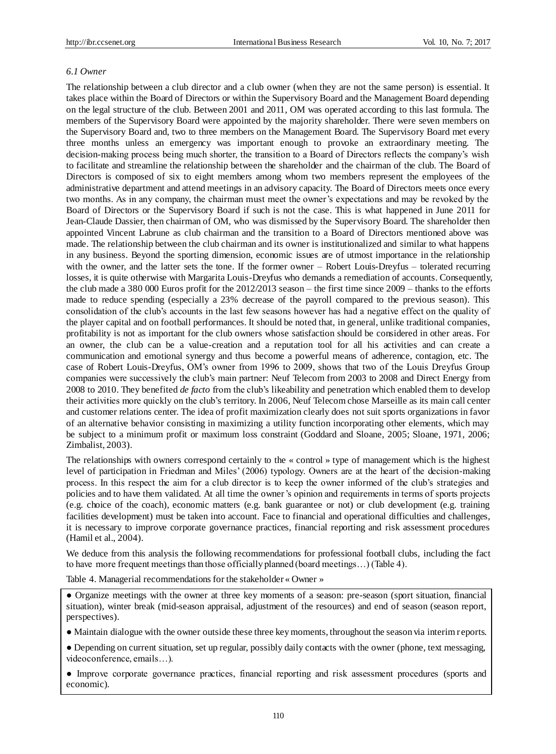#### *6.1 Owner*

The relationship between a club director and a club owner (when they are not the same person) is essential. It takes place within the Board of Directors or within the Supervisory Board and the Management Board depending on the legal structure of the club. Between 2001 and 2011, OM was operated according to this last formula. The members of the Supervisory Board were appointed by the majority shareholder. There were seven members on the Supervisory Board and, two to three members on the Management Board. The Supervisory Board met every three months unless an emergency was important enough to provoke an extraordinary meeting. The decision-making process being much shorter, the transition to a Board of Directors reflects the company's wish to facilitate and streamline the relationship between the shareholder and the chairman of the club. The Board of Directors is composed of six to eight members among whom two members represent the employees of the administrative department and attend meetings in an advisory capacity. The Board of Directors meets once every two months. As in any company, the chairman must meet the owner's expectations and may be revoked by the Board of Directors or the Supervisory Board if such is not the case. This is what happened in June 2011 for Jean-Claude Dassier, then chairman of OM, who was dismissed by the Supervisory Board. The shareholder then appointed Vincent Labrune as club chairman and the transition to a Board of Directors mentioned above was made. The relationship between the club chairman and its owner is institutionalized and similar to what happens in any business. Beyond the sporting dimension, economic issues are of utmost importance in the relationship with the owner, and the latter sets the tone. If the former owner – Robert Louis-Dreyfus – tolerated recurring losses, it is quite otherwise with Margarita Louis-Dreyfus who demands a remediation of accounts. Consequently, the club made a 380 000 Euros profit for the 2012/2013 season – the first time since 2009 – thanks to the efforts made to reduce spending (especially a 23% decrease of the payroll compared to the previous season). This consolidation of the club's accounts in the last few seasons however has had a negative effect on the quality of the player capital and on football performances. It should be noted that, in general, unlike traditional companies, profitability is not as important for the club owners whose satisfaction should be considered in other areas. For an owner, the club can be a value-creation and a reputation tool for all his activities and can create a communication and emotional synergy and thus become a powerful means of adherence, contagion, etc. The case of Robert Louis-Dreyfus, OM's owner from 1996 to 2009, shows that two of the Louis Dreyfus Group companies were successively the club's main partner: Neuf Telecom from 2003 to 2008 and Direct Energy from 2008 to 2010. They benefited *de facto* from the club's likeability and penetration which enabled them to develop their activities more quickly on the club's territory. In 2006, Neuf Telecom chose Marseille as its main call center and customer relations center. The idea of profit maximization clearly does not suit sports organizations in favor of an alternative behavior consisting in maximizing a utility function incorporating other elements, which may be subject to a minimum profit or maximum loss constraint (Goddard and Sloane, 2005; Sloane, 1971, 2006; Zimbalist, 2003).

The relationships with owners correspond certainly to the «control » type of management which is the highest level of participation in Friedman and Miles' (2006) typology. Owners are at the heart of the decision-making process. In this respect the aim for a club director is to keep the owner informed of the club's strategies and policies and to have them validated. At all time the owner's opinion and requirements in terms of sports projects (e.g. choice of the coach), economic matters (e.g. bank guarantee or not) or club development (e.g. training facilities development) must be taken into account. Face to financial and operational difficulties and challenges, it is necessary to improve corporate governance practices, financial reporting and risk assessment procedures (Hamil et al., 2004).

We deduce from this analysis the following recommendations for professional football clubs, including the fact to have more frequent meetings than those officially planned (board meetings…) (Table 4).

Table 4. Managerial recommendations for the stakeholder «Owner »

● Organize meetings with the owner at three key moments of a season: pre-season (sport situation, financial situation), winter break (mid-season appraisal, adjustment of the resources) and end of season (season report, perspectives).

● Maintain dialogue with the owner outside these three key moments, throughout the season via interim reports.

● Depending on current situation, set up regular, possibly daily contacts with the owner (phone, text messaging, videoconference, emails…).

● Improve corporate governance practices, financial reporting and risk assessment procedures (sports and economic).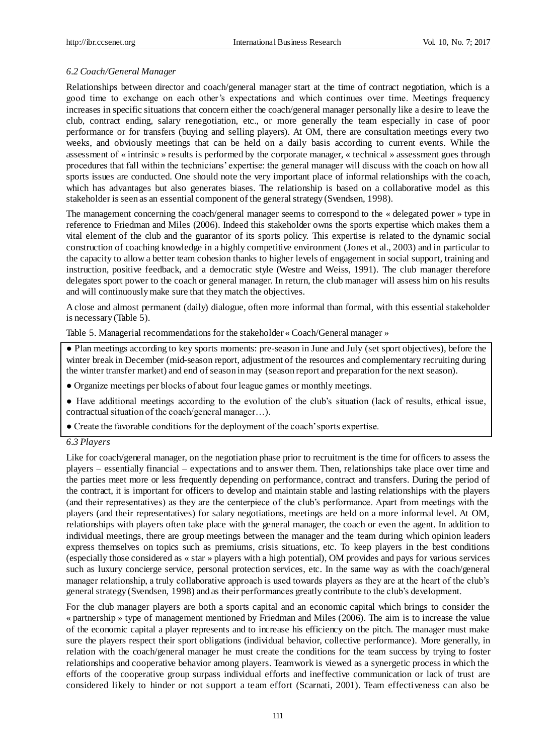# *6.2 Coach/General Manager*

Relationships between director and coach/general manager start at the time of contract negotiation, which is a good time to exchange on each other's expectations and which continues over time. Meetings frequency increases in specific situations that concern either the coach/general manager personally like a desire to leave the club, contract ending, salary renegotiation, etc., or more generally the team especially in case of poor performance or for transfers (buying and selling players). At OM, there are consultation meetings every two weeks, and obviously meetings that can be held on a daily basis according to current events. While the assessment of « intrinsic » results is performed by the corporate manager, «technical » assessment goes through procedures that fall within the technicians' expertise: the general manager will discuss with the coach on how all sports issues are conducted. One should note the very important place of informal relationships with the co ach, which has advantages but also generates biases. The relationship is based on a collaborative model as this stakeholder is seen as an essential component of the general strategy (Svendsen, 1998).

The management concerning the coach/general manager seems to correspond to the «delegated power » type in reference to Friedman and Miles (2006). Indeed this stakeholder owns the sports expertise which makes them a vital element of the club and the guarantor of its sports policy. This expertise is related to the dynamic social construction of coaching knowledge in a highly competitive environment (Jones et al., 2003) and in particular to the capacity to allow a better team cohesion thanks to higher levels of engagement in social support, training and instruction, positive feedback, and a democratic style (Westre and Weiss, 1991). The club manager therefore delegates sport power to the coach or general manager. In return, the club manager will assess him on his results and will continuously make sure that they match the objectives.

A close and almost permanent (daily) dialogue, often more informal than formal, with this essential stakeholder is necessary (Table 5).

Table 5. Managerial recommendations for the stakeholder «Coach/General manager »

● Plan meetings according to key sports moments: pre-season in June and July (set sport objectives), before the winter break in December (mid-season report, adjustment of the resources and complementary recruiting during the winter transfer market) and end of season in may (season report and preparation for the next season).

● Organize meetings per blocks of about four league games or monthly meetings.

● Have additional meetings according to the evolution of the club's situation (lack of results, ethical issue, contractual situation of the coach/general manager…).

● Create the favorable conditions for the deployment of the coach' sports expertise.

## *6.3 Players*

Like for coach/general manager, on the negotiation phase prior to recruitment is the time for officers to assess the players – essentially financial – expectations and to answer them. Then, relationships take place over time and the parties meet more or less frequently depending on performance, contract and transfers. During the period of the contract, it is important for officers to develop and maintain stable and lasting relationships with the players (and their representatives) as they are the centerpiece of the club's performance. Apart from meetings with the players (and their representatives) for salary negotiations, meetings are held on a more informal level. At OM, relationships with players often take place with the general manager, the coach or even the agent. In addition to individual meetings, there are group meetings between the manager and the team during which opinion leaders express themselves on topics such as premiums, crisis situations, etc. To keep players in the best conditions (especially those considered as «star » players with a high potential), OM provides and pays for various services such as luxury concierge service, personal protection services, etc. In the same way as with the coach/general manager relationship, a truly collaborative approach is used towards players as they are at the heart of the club's general strategy (Svendsen, 1998) and as their performances greatly contribute to the club's development.

For the club manager players are both a sports capital and an economic capital which brings to consider the «partnership » type of management mentioned by Friedman and Miles (2006). The aim is to increase the value of the economic capital a player represents and to increase his efficiency on the pitch. The manager must make sure the players respect their sport obligations (individual behavior, collective performance). More generally, in relation with the coach/general manager he must create the conditions for the team success by trying to foster relationships and cooperative behavior among players. Teamwork is viewed as a synergetic process in which the efforts of the cooperative group surpass individual efforts and ineffective communication or lack of trust are considered likely to hinder or not support a team effort (Scarnati, 2001). Team effectiveness can also be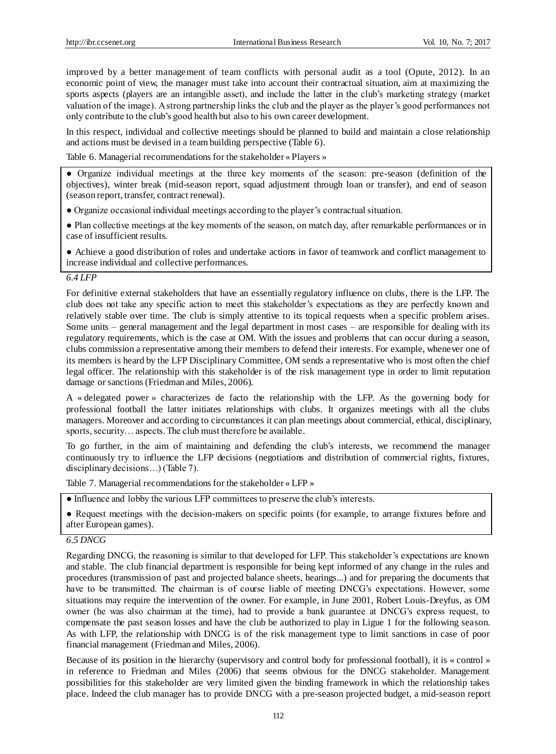improved by a better management of team conflicts with personal audit as a tool (Opute, 2012). In an economic point of view, the manager must take into account their contractual situation, aim at maximizing the sports aspects (players are an intangible asset), and include the latter in the club's marketing strategy (market valuation of the image). A strong partnership links the club and the player as the player's good performances not only contribute to the club's good health but also to his own career development.

In this respect, individual and collective meetings should be planned to build and maintain a close relationship and actions must be devised in a team building perspective (Table 6).

Table 6. Managerial recommendations for the stakeholder «Players »

● Organize individual meetings at the three key moments of the season: pre-season (definition of the objectives), winter break (mid-season report, squad adjustment through loan or transfer), and end of season (season report, transfer, contract renewal).

● Organize occasional individual meetings according to the player's contractual situation.

● Plan collective meetings at the key moments of the season, on match day, after remarkable performances or in case of insufficient results.

● Achieve a good distribution of roles and undertake actions in favor of teamwork and conflict management to increase individual and collective performances.

#### *6.4 LFP*

For definitive external stakeholders that have an essentially regulatory influence on clubs, there is the LFP. The club does not take any specific action to meet this stakeholder's expectations as they are perfectly known and relatively stable over time. The club is simply attentive to its topical requests when a specific problem arises. Some units – general management and the legal department in most cases – are responsible for dealing with its regulatory requirements, which is the case at OM. With the issues and problems that can occur during a season, clubs commission a representative among their members to defend their interests. For example, whenever one of its members is heard by the LFP Disciplinary Committee, OM sends a representative who is most often the chief legal officer. The relationship with this stakeholder is of the risk management type in order to limit reputation damage or sanctions (Friedman and Miles, 2006).

A «delegated power » characterizes de facto the relationship with the LFP. As the governing body for professional football the latter initiates relationships with clubs. It organizes meetings with all the clubs managers. Moreover and according to circumstances it can plan meetings about commercial, ethical, disciplinary, sports, security... aspects. The club must therefore be available.

To go further, in the aim of maintaining and defending the club's interests, we recommend the manager continuously try to influence the LFP decisions (negotiations and distribution of commercial rights, fixtures, disciplinary decisions…) (Table 7).

Table 7. Managerial recommendations for the stakeholder «LFP »

● Influence and lobby the various LFP committees to preserve the club's interests.

● Request meetings with the decision-makers on specific points (for example, to arrange fixtures before and after European games).

#### *6.5 DNCG*

Regarding DNCG, the reasoning is similar to that developed for LFP. This stakeholder's expectations are known and stable. The club financial department is responsible for being kept informed of any change in the rules and procedures (transmission of past and projected balance sheets, hearings...) and for preparing the documents that have to be transmitted. The chairman is of course liable of meeting DNCG's expectations. However, some situations may require the intervention of the owner. For example, in June 2001, Robert Louis-Dreyfus, as OM owner (he was also chairman at the time), had to provide a bank guarantee at DNCG's express request, to compensate the past season losses and have the club be authorized to play in Ligue 1 for the following season. As with LFP, the relationship with DNCG is of the risk management type to limit sanctions in case of poor financial management (Friedman and Miles, 2006).

Because of its position in the hierarchy (supervisory and control body for professional football), it is «control » in reference to Friedman and Miles (2006) that seems obvious for the DNCG stakeholder. Management possibilities for this stakeholder are very limited given the binding framework in which the relationship takes place. Indeed the club manager has to provide DNCG with a pre-season projected budget, a mid-season report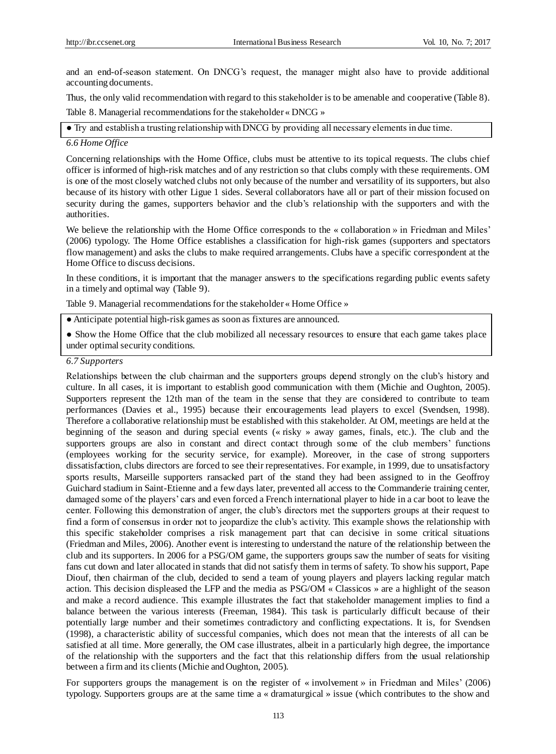and an end-of-season statement. On DNCG's request, the manager might also have to provide additional accounting documents.

Thus, the only valid recommendation with regard to this stakeholder is to be amenable and cooperative (Table 8). Table 8. Managerial recommendations for the stakeholder «DNCG »

● Try and establish a trusting relationship with DNCG by providing all necessary elements in due time.

#### *6.6 Home Office*

Concerning relationships with the Home Office, clubs must be attentive to its topical requests. The clubs chief officer is informed of high-risk matches and of any restriction so that clubs comply with these requirements. OM is one of the most closely watched clubs not only because of the number and versatility of its supporters, but also because of its history with other Ligue 1 sides. Several collaborators have all or part of their mission focused on security during the games, supporters behavior and the club's relationship with the supporters and with the authorities.

We believe the relationship with the Home Office corresponds to the «collaboration » in Friedman and Miles' (2006) typology. The Home Office establishes a classification for high-risk games (supporters and spectators flow management) and asks the clubs to make required arrangements. Clubs have a specific correspondent at the Home Office to discuss decisions.

In these conditions, it is important that the manager answers to the specifications regarding public events safety in a timely and optimal way (Table 9).

Table 9. Managerial recommendations for the stakeholder «Home Office »

● Anticipate potential high-risk games as soon as fixtures are announced.

• Show the Home Office that the club mobilized all necessary resources to ensure that each game takes place under optimal security conditions.

#### *6.7 Supporters*

Relationships between the club chairman and the supporters groups depend strongly on the club's history and culture. In all cases, it is important to establish good communication with them (Michie and Oughton, 2005). Supporters represent the 12th man of the team in the sense that they are considered to contribute to team performances (Davies et al., 1995) because their encouragements lead players to excel (Svendsen, 1998). Therefore a collaborative relationship must be established with this stakeholder. At OM, meetings are held at the beginning of the season and during special events («risky » away games, finals, etc.). The club and the supporters groups are also in constant and direct contact through some of the club members' functions (employees working for the security service, for example). Moreover, in the case of strong supporters dissatisfaction, clubs directors are forced to see their representatives. For example, in 1999, due to unsatisfactory sports results, Marseille supporters ransacked part of the stand they had been assigned to in the Geoffroy Guichard stadium in Saint-Etienne and a few days later, prevented all access to the Commanderie training center, damaged some of the players' cars and even forced a French international player to hide in a car boot to leave the center. Following this demonstration of anger, the club's directors met the supporters groups at their request to find a form of consensus in order not to jeopardize the club's activity. This example shows the relationship with this specific stakeholder comprises a risk management part that can decisive in some critical situations (Friedman and Miles, 2006). Another event is interesting to understand the nature of the relationship between the club and its supporters. In 2006 for a PSG/OM game, the supporters groups saw the number of seats for visiting fans cut down and later allocated in stands that did not satisfy them in terms of safety. To show his support, Pape Diouf, then chairman of the club, decided to send a team of young players and players lacking regular match action. This decision displeased the LFP and the media as PSG/OM «Classicos » are a highlight of the season and make a record audience. This example illustrates the fact that stakeholder management implies to find a balance between the various interests (Freeman, 1984). This task is particularly difficult because of their potentially large number and their sometimes contradictory and conflicting expectations. It is, for Svendsen (1998), a characteristic ability of successful companies, which does not mean that the interests of all can be satisfied at all time. More generally, the OM case illustrates, albeit in a particularly high degree, the importance of the relationship with the supporters and the fact that this relationship differs from the usual relationship between a firm and its clients (Michie and Oughton, 2005).

For supporters groups the management is on the register of «involvement » in Friedman and Miles' (2006) typology. Supporters groups are at the same time a «dramaturgical » issue (which contributes to the show and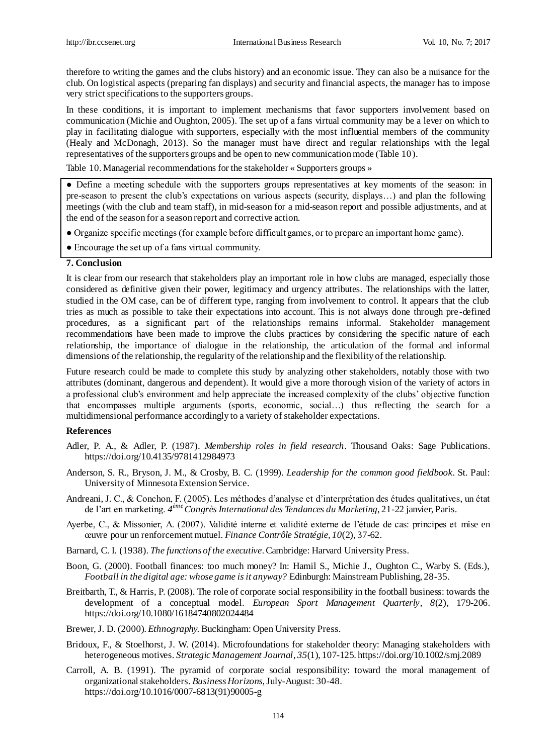therefore to writing the games and the clubs history) and an economic issue. They can also be a nuisance for the club. On logistical aspects (preparing fan displays) and security and financial aspects, the manager has to impose very strict specifications to the supporters groups.

In these conditions, it is important to implement mechanisms that favor supporters involvement based on communication (Michie and Oughton, 2005). The set up of a fans virtual community may be a lever on which to play in facilitating dialogue with supporters, especially with the most influential members of the community (Healy and McDonagh, 2013). So the manager must have direct and regular relationships with the legal representatives of the supporters groups and be open to new communication mode (Table 10).

Table 10. Managerial recommendations for the stakeholder «Supporters groups »

● Define a meeting schedule with the supporters groups representatives at key moments of the season: in pre-season to present the club's expectations on various aspects (security, displays…) and plan the following meetings (with the club and team staff), in mid-season for a mid-season report and possible adjustments, and at the end of the season for a season report and corrective action.

- Organize specific meetings (for example before difficult games, or to prepare an important home game).
- Encourage the set up of a fans virtual community.

### **7. Conclusion**

It is clear from our research that stakeholders play an important role in how clubs are managed, especially those considered as definitive given their power, legitimacy and urgency attributes. The relationships with the latter, studied in the OM case, can be of different type, ranging from involvement to control. It appears that the club tries as much as possible to take their expectations into account. This is not always done through pre -defined procedures, as a significant part of the relationships remains informal. Stakeholder management recommendations have been made to improve the clubs practices by considering the specific nature of each relationship, the importance of dialogue in the relationship, the articulation of the formal and informal dimensions of the relationship, the regularity of the relationship and the flexibility of the relationship.

Future research could be made to complete this study by analyzing other stakeholders, notably those with two attributes (dominant, dangerous and dependent). It would give a more thorough vision of the variety of actors in a professional club's environment and help appreciate the increased complexity of the clubs' objective function that encompasses multiple arguments (sports, economic, social…) thus reflecting the search for a multidimensional performance accordingly to a variety of stakeholder expectations.

#### **References**

- Adler, P. A., & Adler, P. (1987). *Membership roles in field research*. Thousand Oaks: Sage Publications. https://doi.org/10.4135/9781412984973
- Anderson, S. R., Bryson, J. M., & Crosby, B. C. (1999). *Leadership for the common good fieldbook*. St. Paul: University of Minnesota Extension Service.
- Andreani, J. C., & Conchon, F. (2005). Les méthodes d'analyse et d'interprétation des études qualitatives, un état de l'art en marketing. *4 ème Congrès International des Tendances du Marketing*, 21-22 janvier, Paris.
- Ayerbe, C., & Missonier, A. (2007). Validité interne et validité externe de l'étude de cas: principes et mise en œuvre pour un renforcement mutuel. *Finance Contrôle Stratégie, 10*(2), 37-62.
- Barnard, C. I. (1938). *The functions of the executive*. Cambridge: Harvard University Press.
- Boon, G. (2000). Football finances: too much money? In: Hamil S., Michie J., Oughton C., Warby S. (Eds.), *Football in the digital age: whose game is it anyway?* Edinburgh: Mainstream Publishing, 28-35.
- Breitbarth, T., & Harris, P. (2008). The role of corporate social responsibility in the football business: towards the development of a conceptual model. *European Sport Management Quarterly, 8*(2), 179-206. https://doi.org/10.1080/16184740802024484
- Brewer, J. D. (2000). *Ethnography.* Buckingham: Open University Press.
- Bridoux, F., & Stoelhorst, J. W. (2014). Microfoundations for stakeholder theory: Managing stakeholders with heterogeneous motives. *Strategic Management Journal*, *35*(1), 107-125. https://doi.org/10.1002/smj.2089
- Carroll, A. B. (1991). The pyramid of corporate social responsibility: toward the moral management of organizational stakeholders. *Business Horizons*, July-August: 30-48. https://doi.org/10.1016/0007-6813(91)90005-g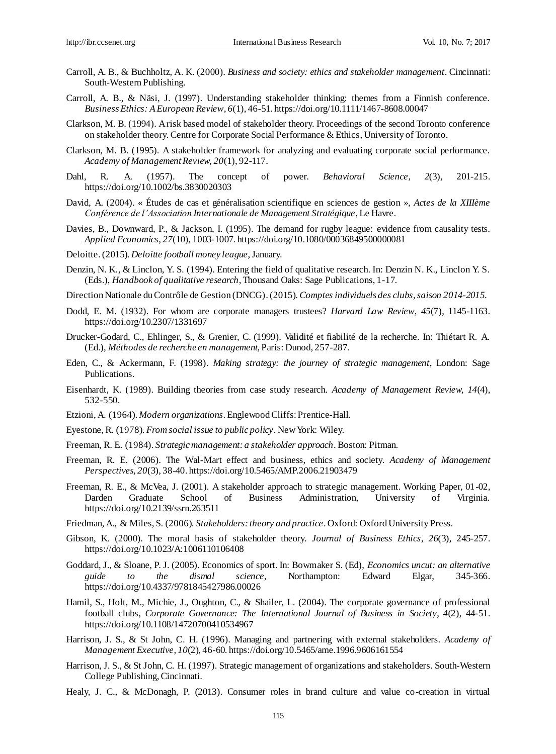- Carroll, A. B., & Buchholtz, A. K. (2000). *Business and society: ethics and stakeholder management*. Cincinnati: South-Western Publishing.
- Carroll, A. B., & Näsi, J. (1997). Understanding stakeholder thinking: themes from a Finnish conference. *Business Ethics: A European Review, 6*(1), 46-51. https://doi.org/10.1111/1467-8608.00047
- Clarkson, M. B. (1994). A risk based model of stakeholder theory. Proceedings of the second Toronto conference on stakeholder theory. Centre for Corporate Social Performance & Ethics, University of Toronto.
- Clarkson, M. B. (1995). A stakeholder framework for analyzing and evaluating corporate social performance. *Academy of Management Review, 20*(1), 92-117.
- Dahl, R. A. (1957). The concept of power. *Behavioral Science, 2*(3), 201-215. https://doi.org/10.1002/bs.3830020303
- David, A. (2004). « Études de cas et généralisation scientifique en sciences de gestion », *Actes de la XIIIème Conférence de l'Association Internationale de Management Stratégique*, Le Havre.
- Davies, B., Downward, P., & Jackson, I. (1995). The demand for rugby league: evidence from causality tests. *Applied Economics, 27*(10), 1003-1007. https://doi.org/10.1080/00036849500000081
- Deloitte.(2015). *Deloitte football money league*, January.
- Denzin, N. K., & Linclon, Y. S. (1994). Entering the field of qualitative research. In: Denzin N. K., Linclon Y. S. (Eds.), *Handbook of qualitative research*, Thousand Oaks: Sage Publications, 1-17.
- Direction Nationale du Contrôle de Gestion (DNCG).(2015). *Comptes individuels des clubs, saison 2014-2015*.
- Dodd, E. M. (1932). For whom are corporate managers trustees? *Harvard Law Review, 45*(7), 1145-1163. https://doi.org/10.2307/1331697
- Drucker-Godard, C., Ehlinger, S., & Grenier, C. (1999). Validité et fiabilité de la recherche. In: Thiétart R. A. (Ed.), *Méthodes de recherche en management*, Paris: Dunod, 257-287.
- Eden, C., & Ackermann, F. (1998). *Making strategy: the journey of strategic management*, London: Sage Publications.
- Eisenhardt, K. (1989). Building theories from case study research. *Academy of Management Review, 14*(4), 532-550.
- Etzioni, A. (1964). *Modern organizations*. Englewood Cliffs: Prentice-Hall.
- Eyestone, R. (1978). *From social issue to public policy*. New York: Wiley.
- Freeman, R. E. (1984). *Strategic management: a stakeholder approach*. Boston: Pitman.
- Freeman, R. E. (2006). The Wal-Mart effect and business, ethics and society. *Academy of Management Perspectives, 20*(3), 38-40. https://doi.org/10.5465/AMP.2006.21903479
- Freeman, R. E., & McVea, J. (2001). A stakeholder approach to strategic management. Working Paper, 01-02, Darden Graduate School of Business Administration, University of Virginia. https://doi.org/10.2139/ssrn.263511
- Friedman, A., & Miles, S. (2006). *Stakeholders: theory and practice*. Oxford: Oxford University Press.
- Gibson, K. (2000). The moral basis of stakeholder theory. *Journal of Business Ethics*, *26*(3), 245-257. https://doi.org/10.1023/A:1006110106408
- Goddard, J., & Sloane, P. J. (2005). Economics of sport. In: Bowmaker S. (Ed), *Economics uncut: an alternative guide to the dismal science*, Northampton: Edward Elgar, 345-366. https://doi.org/10.4337/9781845427986.00026
- Hamil, S., Holt, M., Michie, J., Oughton, C., & Shailer, L. (2004). The corporate governance of professional football clubs, *Corporate Governance: The International Journal of Business in Society*, *4*(2), 44-51. https://doi.org/10.1108/14720700410534967
- Harrison, J. S., & St John, C. H. (1996). Managing and partnering with external stakeholders. *Academy of Management Executive, 10*(2), 46-60. https://doi.org/10.5465/ame.1996.9606161554
- Harrison, J. S., & St John, C. H. (1997). Strategic management of organizations and stakeholders. South-Western College Publishing, Cincinnati.
- Healy, J. C., & McDonagh, P. (2013). Consumer roles in brand culture and value co-creation in virtual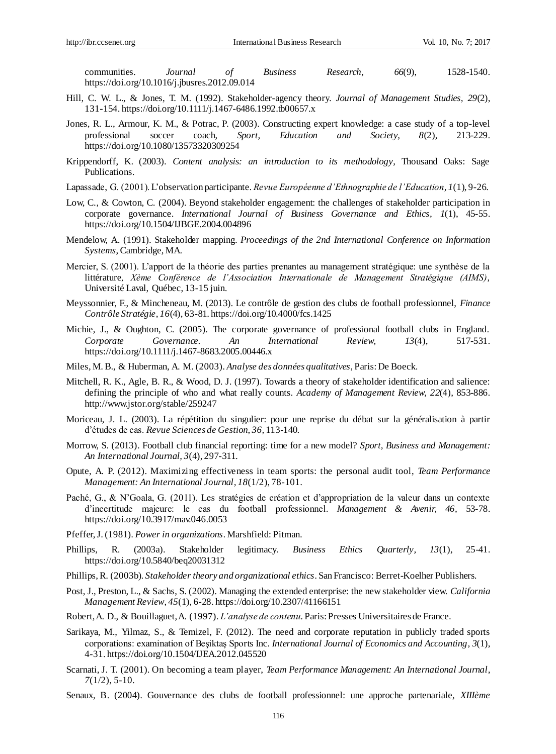communities. *Journal of Business Research, 66*(9), 1528-1540. https://doi.org/10.1016/j.jbusres.2012.09.014

- Hill, C. W. L., & Jones, T. M. (1992). Stakeholder-agency theory. *Journal of Management Studies, 29*(2), 131-154. https://doi.org/10.1111/j.1467-6486.1992.tb00657.x
- Jones, R. L., Armour, K. M., & Potrac, P. (2003). Constructing expert knowledge: a case study of a top-level professional soccer coach, *Sport, Education and Society, 8*(2), 213-229. https://doi.org/10.1080/13573320309254
- Krippendorff, K. (2003). *Content analysis: an introduction to its methodology*, Thousand Oaks: Sage Publications.
- Lapassade, G. (2001). L'observation participante. *Revue Européenne d'Ethnographie de l'Education, 1*(1), 9-26.
- Low, C., & Cowton, C. (2004). Beyond stakeholder engagement: the challenges of stakeholder participation in corporate governance. *International Journal of Business Governance and Ethics, 1*(1), 45-55. https://doi.org/10.1504/IJBGE.2004.004896
- Mendelow, A. (1991). Stakeholder mapping. *Proceedings of the 2nd International Conference on Information Systems*, Cambridge, MA.
- Mercier, S. (2001). L'apport de la théorie des parties prenantes au management stratégique: une synthèse de la littérature*, Xème Conférence de l'Association Internationale de Management Stratégique (AIMS)*, Université Laval, Québec, 13-15 juin.
- Meyssonnier, F., & Mincheneau, M. (2013). Le contrôle de gestion des clubs de football professionnel, *Finance Contrôle Stratégie*, *16*(4), 63-81. https://doi.org/10.4000/fcs.1425
- Michie, J., & Oughton, C. (2005). The corporate governance of professional football clubs in England. *Corporate Governance. An International Review, 13*(4), 517-531. https://doi.org/10.1111/j.1467-8683.2005.00446.x
- Miles, M. B., & Huberman, A. M. (2003). *Analyse des données qualitatives*, Paris: De Boeck.
- Mitchell, R. K., Agle, B. R., & Wood, D. J. (1997). Towards a theory of stakeholder identification and salience: defining the principle of who and what really counts. *Academy of Management Review, 22*(4), 853-886. http://www.jstor.org/stable/259247
- Moriceau, J. L. (2003). La répétition du singulier: pour une reprise du débat sur la généralisation à partir d'études de cas. *Revue Sciences de Gestion*, *36,* 113-140.
- Morrow, S. (2013). Football club financial reporting: time for a new model? *Sport, Business and Management: An International Journal, 3*(4), 297-311.
- [Opute,](http://www.emeraldinsight.com/author/Promise+Opute%2C+Abdullah) A. P. (2012). Maximizing effectiveness in team sports: the personal audit tool, *Team Performance Management: An International Journal, 18*(1/2), 78-101.
- Paché, G., & N'Goala, G. (2011). Les stratégies de création et d'appropriation de la valeur dans un contexte d'incertitude majeure: le cas du football professionnel. *Management & Avenir, 46,* 53-78. https://doi.org/10.3917/mav.046.0053
- Pfeffer, J. (1981). *Power in organizations*. Marshfield: Pitman.
- Phillips, R. (2003a). Stakeholder legitimacy. *Business Ethics Quarterly, 13*(1), 25-41. https://doi.org/10.5840/beq20031312
- Phillips, R. (2003b). *Stakeholder theory and organizational ethics*. San Francisco: Berret-Koelher Publishers.
- Post, J., Preston, L., & Sachs, S. (2002). Managing the extended enterprise: the new stakeholder view. *California Management Review*, *45*(1), 6-28. https://doi.org/10.2307/41166151
- Robert, A. D., & Bouillaguet, A. (1997). *L'analyse de contenu*. Paris: Presses Universitaires de France.
- Sarikaya, M., Yilmaz, S., & Temizel, F. (2012). The need and corporate reputation in publicly traded sports corporations: examination of Beşiktaş Sports Inc. *International Journal of Economics and Accounting, 3*(1), 4-31. https://doi.org/10.1504/IJEA.2012.045520
- [Scarnati,](http://www.emeraldinsight.com/author/Scarnati%2C+James+T) J. T. (2001). On becoming a team player, *Team Performance Management: An International Journal*, *7*(1/2), 5-10.
- Senaux, B. (2004). Gouvernance des clubs de football professionnel: une approche partenariale, *XIIIème*